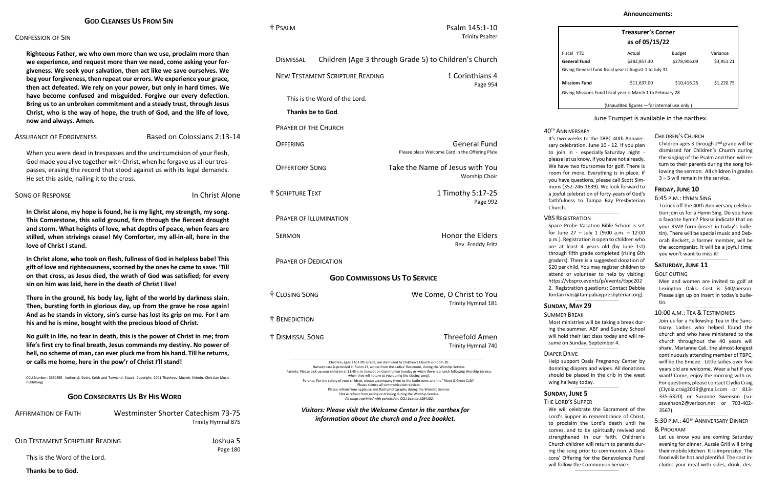#### CONFESSION OF SIN

**Righteous Father, we who own more than we use, proclaim more than we experience, and request more than we need, come asking your forgiveness. We seek your salvation, then act like we save ourselves. We beg your forgiveness, then repeat our errors. We experience your grace, then act defeated. We rely on your power, but only in hard times. We have become confused and misguided. Forgive our every defection. Bring us to an unbroken commitment and a steady trust, through Jesus Christ, who is the way of hope, the truth of God, and the life of love, now and always. Amen.**

ASSURANCE OF FORGIVENESS Based on Colossians 2:13-14

When you were dead in trespasses and the uncircumcision of your flesh, God made you alive together with Christ, when he forgave us all our trespasses, erasing the record that stood against us with its legal demands. He set this aside, nailing it to the cross.

#### SONG OF RESPONSE **In Christ Alone**

**In Christ alone, my hope is found, he is my light, my strength, my song. This Cornerstone, this solid ground, firm through the fiercest drought and storm. What heights of love, what depths of peace, when fears are stilled, when strivings cease! My Comforter, my all-in-all, here in the love of Christ I stand.**

> **Westminster Shorter Catechism 73-75** Trinity Hymnal 875

**In Christ alone, who took on flesh, fullness of God in helpless babe! This gift of love and righteousness, scorned by the ones he came to save. 'Till on that cross, as Jesus died, the wrath of God was satisfied; for every sin on him was laid, here in the death of Christ I live!**

**There in the ground, his body lay, light of the world by darkness slain. Then, bursting forth in glorious day, up from the grave he rose again! And as he stands in victory, sin's curse has lost its grip on me. For I am his and he is mine, bought with the precious blood of Christ.**

**No guilt in life, no fear in death, this is the power of Christ in me; from life's first cry to final breath, Jesus commands my destiny. No power of hell, no scheme of man, can ever pluck me from his hand. Till he returns, or calls me home, here in the pow'r of Christ I'll stand!**

CCLI Number: 3350395 Author(s): Getty, Keith and Townend, Stuart, Copyright: 2001 Thankyou Muswic (Admin. Christian Music Publishing)

### **GOD CONSECRATES US BY HIS WORD**

| AFFIRMATION OF FAITH |  |
|----------------------|--|
|----------------------|--|

Children ages 3 through 2<sup>nd</sup> grade will be dismissed for Children's Church during the singing of the Psalm and then will return to their parents during the song following the sermon. All children in grades 3 – 5 will remain in the service.

 $\_$ 

OLD TESTAMENT SCRIPTURE READING Joshua 5

Page 180

This is the Word of the Lord.

**Thanks be to God.**

† PSALM Psalm 145:1-10

Trinity Psalter

| <b>DISMISSAL</b>                       | Children (Age 3 through Grade 5) to Children's Church                                                                                                                                                                                                                                                                                                                                                                                                                                                                                                                                                                                                                                                                                                                                                                                                                                          |
|----------------------------------------|------------------------------------------------------------------------------------------------------------------------------------------------------------------------------------------------------------------------------------------------------------------------------------------------------------------------------------------------------------------------------------------------------------------------------------------------------------------------------------------------------------------------------------------------------------------------------------------------------------------------------------------------------------------------------------------------------------------------------------------------------------------------------------------------------------------------------------------------------------------------------------------------|
| <b>NEW TESTAMENT SCRIPTURE READING</b> | 1 Corinthians 4<br>Page 954                                                                                                                                                                                                                                                                                                                                                                                                                                                                                                                                                                                                                                                                                                                                                                                                                                                                    |
| This is the Word of the Lord.          |                                                                                                                                                                                                                                                                                                                                                                                                                                                                                                                                                                                                                                                                                                                                                                                                                                                                                                |
| Thanks be to God.                      |                                                                                                                                                                                                                                                                                                                                                                                                                                                                                                                                                                                                                                                                                                                                                                                                                                                                                                |
| <b>PRAYER OF THE CHURCH</b>            |                                                                                                                                                                                                                                                                                                                                                                                                                                                                                                                                                                                                                                                                                                                                                                                                                                                                                                |
| OFFERING                               | <b>General Fund</b><br>Please place Welcome Card in the Offering Plate                                                                                                                                                                                                                                                                                                                                                                                                                                                                                                                                                                                                                                                                                                                                                                                                                         |
| <b>OFFERTORY SONG</b>                  | Take the Name of Jesus with You<br>Worship Choir                                                                                                                                                                                                                                                                                                                                                                                                                                                                                                                                                                                                                                                                                                                                                                                                                                               |
| † SCRIPTURE TEXT                       | 1 Timothy 5:17-25<br>Page 992                                                                                                                                                                                                                                                                                                                                                                                                                                                                                                                                                                                                                                                                                                                                                                                                                                                                  |
| <b>PRAYER OF ILLUMINATION</b>          |                                                                                                                                                                                                                                                                                                                                                                                                                                                                                                                                                                                                                                                                                                                                                                                                                                                                                                |
| <b>SERMON</b>                          | <b>Honor the Elders</b><br>Rev. Freddy Fritz                                                                                                                                                                                                                                                                                                                                                                                                                                                                                                                                                                                                                                                                                                                                                                                                                                                   |
| <b>PRAYER OF DEDICATION</b>            |                                                                                                                                                                                                                                                                                                                                                                                                                                                                                                                                                                                                                                                                                                                                                                                                                                                                                                |
|                                        | <b>GOD COMMISSIONS US TO SERVICE</b>                                                                                                                                                                                                                                                                                                                                                                                                                                                                                                                                                                                                                                                                                                                                                                                                                                                           |
| † Closing Song                         | We Come, O Christ to You<br>Trinity Hymnal 181                                                                                                                                                                                                                                                                                                                                                                                                                                                                                                                                                                                                                                                                                                                                                                                                                                                 |
| <b>BENEDICTION</b>                     |                                                                                                                                                                                                                                                                                                                                                                                                                                                                                                                                                                                                                                                                                                                                                                                                                                                                                                |
| <b>DISMISSAL SONG</b>                  | <b>Threefold Amen</b><br>Trinity Hymnal 740                                                                                                                                                                                                                                                                                                                                                                                                                                                                                                                                                                                                                                                                                                                                                                                                                                                    |
|                                        | Children, ages 3 to Fifth Grade, are dismissed to Children's Church in Room 20.<br>Nursery care is provided in Room 13, across from the Ladies' Restroom, during the Worship Service.<br>Parents: Please pick up your children at 11:45 a.m. (except on Communion Sunday or when there is a lunch following Worship Service,<br>when they will return to you during the closing song).<br>Parents: For the safety of your children, please accompany them to the bathrooms and the "Meet & Greet Café".<br>Please silence all communication devices.<br>Please refrain from applause and flash photography during the Worship Service.<br>Please refrain from eating or drinking during the Worship Service.<br>All songs reprinted with permission. CCLI License #264182.<br>Visitors: Please visit the Welcome Center in the narthex for<br>information about the church and a free booklet. |

Space Probe Vacation Bible School is set for June 27 – July 1 (9:00 a.m. – 12:00 p.m.). Registration is open to children who are at least 4 years old (by June 1st) through fifth grade completed (rising 6th graders). There is a suggested donation of \$20 per child. You may register children to attend or volunteer to help by visiting: [https://vbspro.events/p/events/tbpc202](https://vbspro.events/p/events/tbpc2022) [2.](https://vbspro.events/p/events/tbpc2022) Registration questions: Contact Debbie Jordan [\(vbs@tampabaypresbyterian.org\)](mailto:vbs@tampabaypresbyterian.org).  $\_$ 

SUMMER BREAK Most ministries will be taking a break during the summer. ABF and Sunday School will hold their last class today and will resume on Sunday, September 4.  $\_$ 

|                                                            | <b>Treasurer's Corner</b><br>as of 05/15/22  |               |            |
|------------------------------------------------------------|----------------------------------------------|---------------|------------|
| Fiscal YTD                                                 | Actual                                       | <b>Budget</b> | Variance   |
| General Fund                                               | \$282,857.30                                 | \$278,906.09  | \$3,951.21 |
| Giving General fund fiscal year is August 1 to July 31     |                                              |               |            |
| <b>Missions Fund</b>                                       | \$11,637.00                                  | \$10,416.25   | \$1,220.75 |
| Giving Missions Fund fiscal year is March 1 to February 28 |                                              |               |            |
|                                                            | (Unaudited figures - for internal use only.) |               |            |

#### June Trumpet is available in the narthex.

#### **FRIDAY, JUNE 10**

#### 6:45 P.M.: HYMN SING

To kick off the 40th Anniversary celebration join us for a Hymn Sing. Do you have a favorite hymn? Please indicate that on your RSVP form (insert in today's bulletin). There will be special music and Deborah Beckett, a former member, will be the accompanist. It will be a joyful time; you won't want to miss it!

\_\_\_\_\_\_\_\_\_\_\_\_\_\_\_\_\_\_\_\_\_\_\_\_\_\_\_\_\_\_\_\_\_\_\_

#### **SATURDAY, JUNE 11**

#### GOLF OUTING

Men and women are invited to golf at Lexington Oaks. Cost is \$40/person. Please sign up on insert in today's bulletin.

 $\_$ 

#### 10:00 A.M.: TEA & TESTIMONIES

Join us for a Fellowship Tea in the Sanctuary. Ladies who helped found the church and who have ministered to the church throughout the 40 years will share. Marianne Cali, the almost-longest continuously attending member of TBPC, will be the Emcee. Little ladies over five years old are welcome. Wear a hat if you want! Come, enjoy the morning with us. For questions, please contact Clydia Craig [\(Clydia.craig2019@gmail.com](mailto:Clydia.craig2019@gmail.com) or 813- 335-6320) or Suzanne Swenson (suzswenson2@verizon.net or 703-402- 3567).

#### $\_$ 5:30 p.m.: 40<sup>th</sup> Anniversary Dinner

#### & PROGRAM

Let us know you are coming Saturday evening for dinner. Aussie Grill will bring their mobile kitchen. It is impressive. The food will be hot and plentiful. The cost includes your meal with sides, drink, des-

It's two weeks to the TBPC 40th Anniversary celebration, June 10 - 12. If you plan to join in - especially Saturday night please let us know, if you have not already. We have two foursomes for golf. There is room for more. Everything is in place. If you have questions, please call Scott Simmons (352-246-1639). We look forward to a joyful celebration of forty-years of God's faithfulness to Tampa Bay Presbyterian

# 40TH ANNIVERSARY Church. \_\_\_\_\_\_\_\_\_\_\_\_\_\_\_\_\_\_\_\_\_\_\_\_\_\_\_\_\_\_\_\_\_\_\_

#### VBS REGISTRATION

#### CHILDREN'S CHURCH

#### **SUNDAY, MAY 29**

DIAPER DRIVE Help support Oasis Pregnancy Center by donating diapers and wipes. All donations should be placed in the crib in the west wing hallway today.

 $\_$ 

# **SUNDAY, JUNE 5**

THE LORD'S SUPPER We will celebrate the Sacrament of the Lord's Supper in remembrance of Christ, to proclaim the Lord's death until he comes, and to be spiritually revived and strengthened in our faith. Children's Church children will return to parents during the song prior to communion. A Deacons' Offering for the Benevolence Fund will follow the Communion Service.

 $\_$